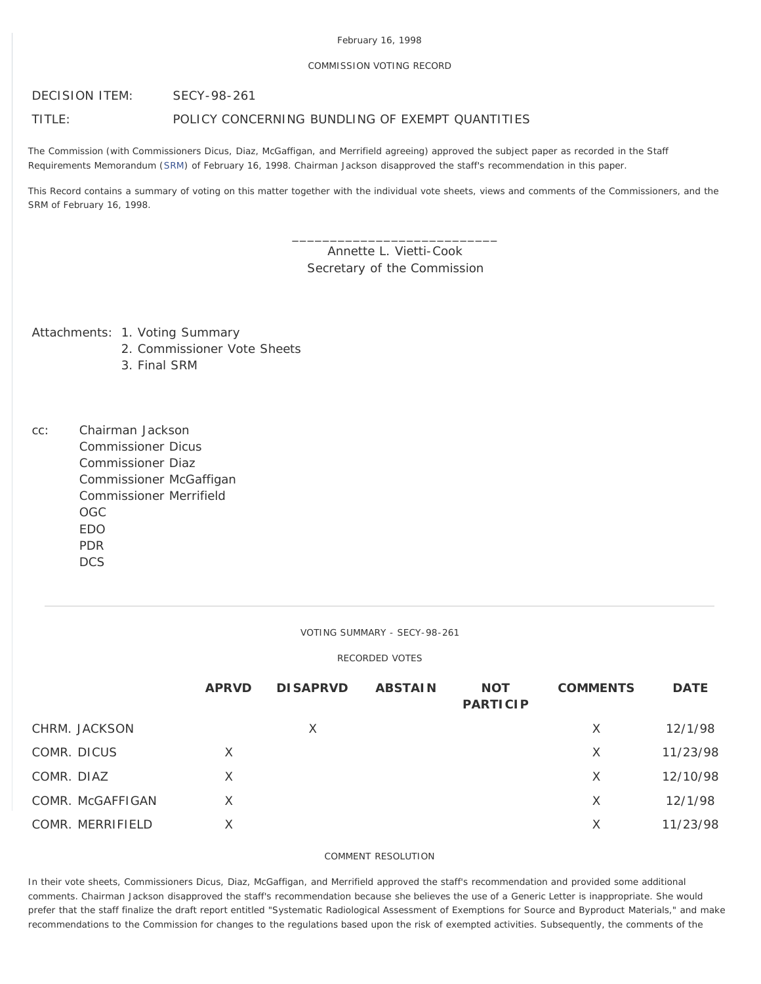#### February 16, 1998

### COMMISSION VOTING RECORD

DECISION ITEM: SECY-98-261

# TITLE: POLICY CONCERNING BUNDLING OF EXEMPT QUANTITIES

The Commission (with Commissioners Dicus, Diaz, McGaffigan, and Merrifield agreeing) approved the subject paper as recorded in the Staff Requirements Memorandum ([SRM](http://www.nrc.gov/reading-rm/doc-collections/commission/srm/1998/1998-261srm.html)) of February 16, 1998. Chairman Jackson disapproved the staff's recommendation in this paper.

This Record contains a summary of voting on this matter together with the individual vote sheets, views and comments of the Commissioners, and the SRM of February 16, 1998.

> Annette L. Vietti-Cook Secretary of the Commission

\_\_\_\_\_\_\_\_\_\_\_\_\_\_\_\_\_\_\_\_\_\_\_\_\_\_\_

Attachments: 1. Voting Summary

- 2. Commissioner Vote Sheets
- 3. Final SRM
- cc: Chairman Jackson Commissioner Dicus Commissioner Diaz Commissioner McGaffigan Commissioner Merrifield OGC EDO PDR **DCS**

VOTING SUMMARY - SECY-98-261

# RECORDED VOTES

|                  | <b>APRVD</b> | <b>DISAPRVD</b> | <b>ABSTAIN</b> | <b>NOT</b><br><b>PARTICIP</b> | <b>COMMENTS</b> | <b>DATE</b> |
|------------------|--------------|-----------------|----------------|-------------------------------|-----------------|-------------|
| CHRM. JACKSON    |              | X               |                |                               | X               | 12/1/98     |
| COMR. DICUS      | $\times$     |                 |                |                               | X               | 11/23/98    |
| COMR. DIAZ       | X            |                 |                |                               | X               | 12/10/98    |
| COMR. McGAFFIGAN | X            |                 |                |                               | X               | 12/1/98     |
| COMR. MERRIFIELD | Χ            |                 |                |                               | Χ               | 11/23/98    |

# COMMENT RESOLUTION

In their vote sheets, Commissioners Dicus, Diaz, McGaffigan, and Merrifield approved the staff's recommendation and provided some additional comments. Chairman Jackson disapproved the staff's recommendation because she believes the use of a Generic Letter is inappropriate. She would prefer that the staff finalize the draft report entitled "Systematic Radiological Assessment of Exemptions for Source and Byproduct Materials," and make recommendations to the Commission for changes to the regulations based upon the risk of exempted activities. Subsequently, the comments of the